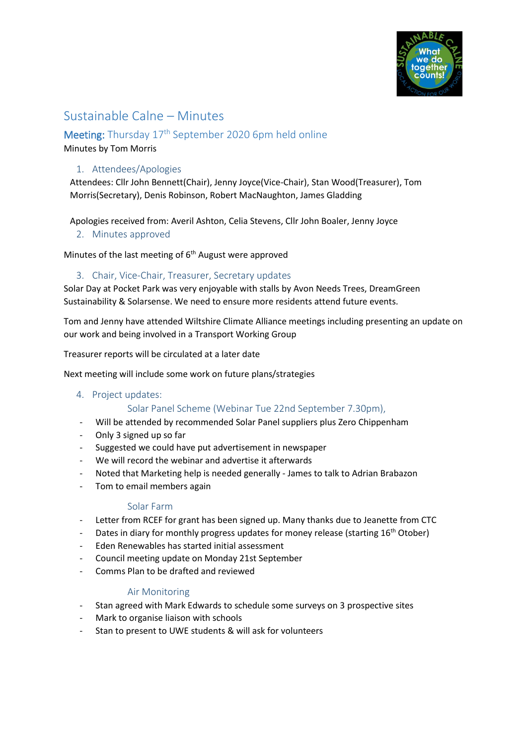

# Sustainable Calne – Minutes

## Meeting: Thursday 17<sup>th</sup> September 2020 6pm held online

Minutes by Tom Morris

## 1. Attendees/Apologies

Attendees: Cllr John Bennett(Chair), Jenny Joyce(Vice-Chair), Stan Wood(Treasurer), Tom Morris(Secretary), Denis Robinson, Robert MacNaughton, James Gladding

Apologies received from: Averil Ashton, Celia Stevens, Cllr John Boaler, Jenny Joyce

2. Minutes approved

Minutes of the last meeting of  $6<sup>th</sup>$  August were approved

#### 3. Chair, Vice-Chair, Treasurer, Secretary updates

Solar Day at Pocket Park was very enjoyable with stalls by Avon Needs Trees, DreamGreen Sustainability & Solarsense. We need to ensure more residents attend future events.

Tom and Jenny have attended Wiltshire Climate Alliance meetings including presenting an update on our work and being involved in a Transport Working Group

Treasurer reports will be circulated at a later date

Next meeting will include some work on future plans/strategies

#### 4. Project updates:

#### Solar Panel Scheme (Webinar Tue 22nd September 7.30pm),

- Will be attended by recommended Solar Panel suppliers plus Zero Chippenham
- Only 3 signed up so far
- Suggested we could have put advertisement in newspaper
- We will record the webinar and advertise it afterwards
- Noted that Marketing help is needed generally James to talk to Adrian Brabazon
- Tom to email members again

#### Solar Farm

- Letter from RCEF for grant has been signed up. Many thanks due to Jeanette from CTC
- Dates in diary for monthly progress updates for money release (starting  $16<sup>th</sup>$  Otober)
- Eden Renewables has started initial assessment
- Council meeting update on Monday 21st September
- Comms Plan to be drafted and reviewed

#### Air Monitoring

- Stan agreed with Mark Edwards to schedule some surveys on 3 prospective sites
- Mark to organise liaison with schools
- Stan to present to UWE students & will ask for volunteers